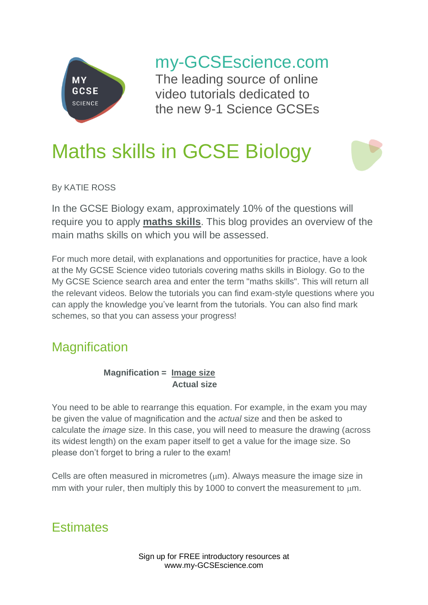

my-GCSEscience.com

The leading source of online video tutorials dedicated to the new 9-1 Science GCSEs

# Maths skills in GCSE Biology

By KATIE ROSS

In the GCSE Biology exam, approximately 10% of the questions will require you to apply **maths skills**. This blog provides an overview of the main maths skills on which you will be assessed.

For much more detail, with explanations and opportunities for practice, have a look at the My GCSE Science video tutorials covering maths skills in Biology. Go to the My GCSE Science search area and enter the term "maths skills". This will return all the relevant videos. Below the tutorials you can find exam-style questions where you can apply the knowledge you've learnt from the tutorials. You can also find mark schemes, so that you can assess your progress!

# **Magnification**

#### **Magnification = Image size Actual size**

You need to be able to rearrange this equation. For example, in the exam you may be given the value of magnification and the *actual* size and then be asked to calculate the *image* size. In this case, you will need to measure the drawing (across its widest length) on the exam paper itself to get a value for the image size. So please don't forget to bring a ruler to the exam!

Cells are often measured in micrometres  $(\mu m)$ . Always measure the image size in mm with your ruler, then multiply this by 1000 to convert the measurement to  $\mu$ m.

# **Estimates**

Sign up for FREE introductory resources at www.my-GCSEscience.com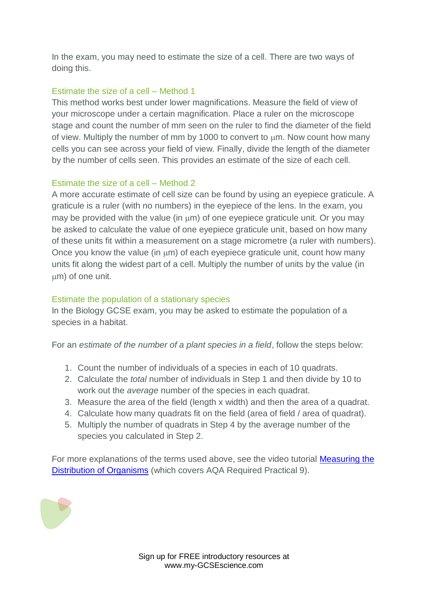In the exam, you may need to estimate the size of a cell. There are two ways of doing this.

#### Estimate the size of a cell – Method 1

This method works best under lower magnifications. Measure the field of view of your microscope under a certain magnification. Place a ruler on the microscope stage and count the number of mm seen on the ruler to find the diameter of the field of view. Multiply the number of mm by 1000 to convert to  $\mu$ m. Now count how many cells you can see across your field of view. Finally, divide the length of the diameter by the number of cells seen. This provides an estimate of the size of each cell.

#### Estimate the size of a cell – Method 2

A more accurate estimate of cell size can be found by using an eyepiece graticule. A graticule is a ruler (with no numbers) in the eyepiece of the lens. In the exam, you may be provided with the value (in  $\mu$ m) of one eyepiece graticule unit. Or you may be asked to calculate the value of one eyepiece graticule unit, based on how many of these units fit within a measurement on a stage micrometre (a ruler with numbers). Once you know the value (in  $\mu$ m) of each eyepiece graticule unit, count how many units fit along the widest part of a cell. Multiply the number of units by the value (in m) of one unit.

#### Estimate the population of a stationary species

In the Biology GCSE exam, you may be asked to estimate the population of a species in a habitat.

For an *estimate of the number of a plant species in a field*, follow the steps below:

- 1. Count the number of individuals of a species in each of 10 quadrats.
- 2. Calculate the *total* number of individuals in Step 1 and then divide by 10 to work out the *average* number of the species in each quadrat.
- 3. Measure the area of the field (length x width) and then the area of a quadrat.
- 4. Calculate how many quadrats fit on the field (area of field / area of quadrat).
- 5. Multiply the number of quadrats in Step 4 by the average number of the species you calculated in Step 2.

For more explanations of the terms used above, see the video tutorial Measuring the [Distribution of](https://www.my-gcsescience.com/aqa/biology/measuring-the-distribution-of-organisms/) Organisms (which covers AQA Required Practical 9).

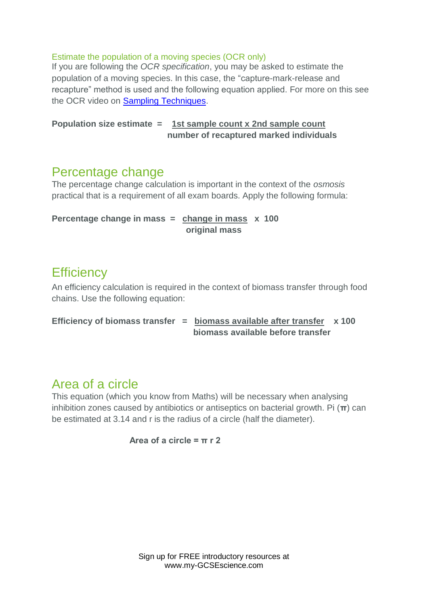#### Estimate the population of a moving species (OCR only)

If you are following the *OCR specification*, you may be asked to estimate the population of a moving species. In this case, the "capture-mark-release and recapture" method is used and the following equation applied. For more on this see the OCR video on **Sampling Techniques**.

#### **Population size estimate = 1st sample count x 2nd sample count number of recaptured marked individuals**

### Percentage change

The percentage change calculation is important in the context of the *osmosis* practical that is a requirement of all exam boards. Apply the following formula:

```
Percentage change in mass = change in mass x 100
                   original mass
```
### **Efficiency**

An efficiency calculation is required in the context of biomass transfer through food chains. Use the following equation:

```
Efficiency of biomass transfer = biomass available after transfer x 100
                      biomass available before transfer
```
### Area of a circle

This equation (which you know from Maths) will be necessary when analysing inhibition zones caused by antibiotics or antiseptics on bacterial growth. Pi (**π**) can be estimated at 3.14 and r is the radius of a circle (half the diameter).

 $Area of a circle = \pi r$